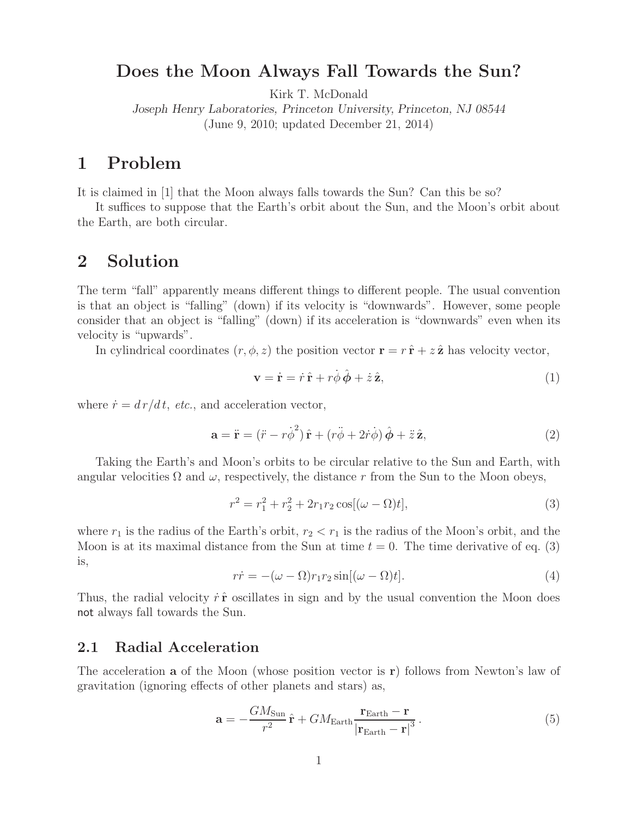### **Does the Moon Always Fall Towards the Sun?**

Kirk T. McDonald

*Joseph Henry Laboratories, Princeton University, Princeton, NJ 08544* (June 9, 2010; updated December 21, 2014)

## **1 Problem**

It is claimed in [1] that the Moon always falls towards the Sun? Can this be so?

It suffices to suppose that the Earth's orbit about the Sun, and the Moon's orbit about the Earth, are both circular.

### **2 Solution**

The term "fall" apparently means different things to different people. The usual convention is that an object is "falling" (down) if its velocity is "downwards". However, some people consider that an object is "falling" (down) if its acceleration is "downwards" even when its velocity is "upwards".

In cylindrical coordinates  $(r, \phi, z)$  the position vector  $\mathbf{r} = r\hat{\mathbf{r}} + z\hat{\mathbf{z}}$  has velocity vector,

$$
\mathbf{v} = \dot{\mathbf{r}} = \dot{r}\,\hat{\mathbf{r}} + r\dot{\phi}\,\hat{\boldsymbol{\phi}} + \dot{z}\,\hat{\mathbf{z}},\tag{1}
$$

where  $\dot{r} = dr/dt$ , *etc.*, and acceleration vector,

$$
\mathbf{a} = \ddot{\mathbf{r}} = (\ddot{r} - r\dot{\phi}^2)\hat{\mathbf{r}} + (r\ddot{\phi} + 2\dot{r}\dot{\phi})\hat{\phi} + \ddot{z}\hat{\mathbf{z}},\tag{2}
$$

Taking the Earth's and Moon's orbits to be circular relative to the Sun and Earth, with angular velocities  $\Omega$  and  $\omega$ , respectively, the distance r from the Sun to the Moon obeys,

$$
r^{2} = r_{1}^{2} + r_{2}^{2} + 2r_{1}r_{2}\cos[(\omega - \Omega)t],
$$
\n(3)

where  $r_1$  is the radius of the Earth's orbit,  $r_2 < r_1$  is the radius of the Moon's orbit, and the Moon is at its maximal distance from the Sun at time  $t = 0$ . The time derivative of eq. (3) is,

$$
r\dot{r} = -(\omega - \Omega)r_1r_2\sin[(\omega - \Omega)t].\tag{4}
$$

Thus, the radial velocity  $\dot{r} \hat{\mathbf{r}}$  oscillates in sign and by the usual convention the Moon does not always fall towards the Sun.

#### **2.1 Radial Acceleration**

The acceleration **a** of the Moon (whose position vector is **r**) follows from Newton's law of gravitation (ignoring effects of other planets and stars) as,

$$
\mathbf{a} = -\frac{GM_{\text{Sun}}}{r^2}\hat{\mathbf{r}} + GM_{\text{Earth}}\frac{\mathbf{r}_{\text{Earth}} - \mathbf{r}}{|\mathbf{r}_{\text{Earth}} - \mathbf{r}|^3}.
$$
 (5)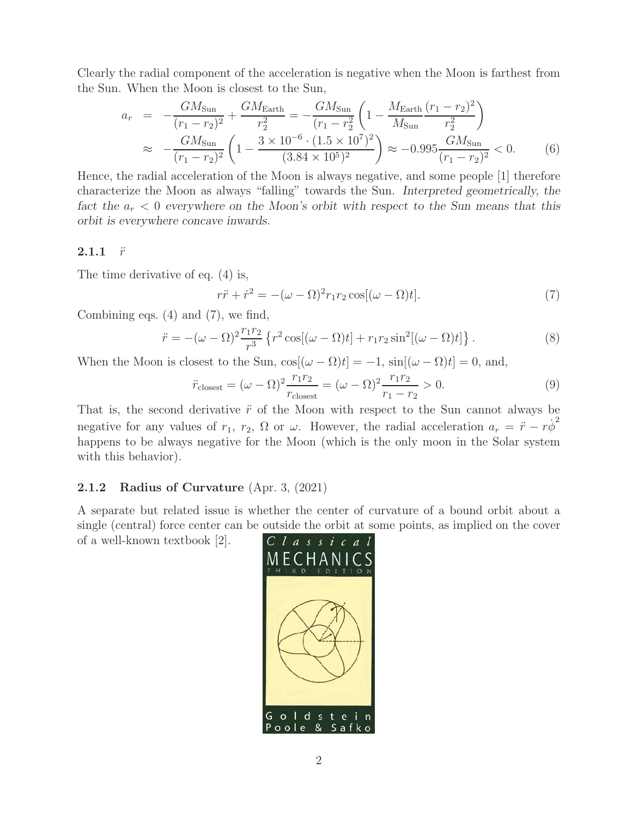Clearly the radial component of the acceleration is negative when the Moon is farthest from the Sun. When the Moon is closest to the Sun,

$$
a_r = -\frac{GM_{\text{Sun}}}{(r_1 - r_2)^2} + \frac{GM_{\text{Earth}}}{r_2^2} = -\frac{GM_{\text{Sun}}}{(r_1 - r_2^2)} \left(1 - \frac{M_{\text{Earth}}}{M_{\text{Sun}}} \frac{(r_1 - r_2)^2}{r_2^2}\right)
$$
  

$$
\approx -\frac{GM_{\text{Sun}}}{(r_1 - r_2)^2} \left(1 - \frac{3 \times 10^{-6} \cdot (1.5 \times 10^7)^2}{(3.84 \times 10^5)^2}\right) \approx -0.995 \frac{GM_{\text{Sun}}}{(r_1 - r_2)^2} < 0. \tag{6}
$$

Hence, the radial acceleration of the Moon is always negative, and some people [1] therefore characterize the Moon as always "falling" towards the Sun. *Interpreted geometrically, the fact the* a*<sup>r</sup>* < 0 *everywhere on the Moon's orbit with respect to the Sun means that this orbit is everywhere concave inwards.*

#### **2.1.1**  $\ddot{r}$

The time derivative of eq. (4) is,

$$
r\ddot{r} + \dot{r}^2 = -(\omega - \Omega)^2 r_1 r_2 \cos[(\omega - \Omega)t].
$$
\n(7)

Combining eqs. (4) and (7), we find,

$$
\ddot{r} = -(\omega - \Omega)^2 \frac{r_1 r_2}{r^3} \left\{ r^2 \cos[(\omega - \Omega)t] + r_1 r_2 \sin^2[(\omega - \Omega)t] \right\}.
$$
\n(8)

When the Moon is closest to the Sun,  $\cos[(\omega - \Omega)t] = -1$ ,  $\sin[(\omega - \Omega)t] = 0$ , and,

$$
\ddot{r}_{\text{closest}} = (\omega - \Omega)^2 \frac{r_1 r_2}{r_{\text{closest}}} = (\omega - \Omega)^2 \frac{r_1 r_2}{r_1 - r_2} > 0. \tag{9}
$$

That is, the second derivative  $\ddot{r}$  of the Moon with respect to the Sun cannot always be negative for any values of  $r_1$ ,  $r_2$ ,  $\Omega$  or  $\omega$ . However, the radial acceleration  $a_r = \ddot{r} - r\dot{\phi}^2$ happens to be always negative for the Moon (which is the only moon in the Solar system with this behavior).

### **2.1.2 Radius of Curvature** (Apr. 3, (2021)

A separate but related issue is whether the center of curvature of a bound orbit about a single (central) force center can be outside the orbit at some points, as implied on the cover

of a well-known textbook [2].